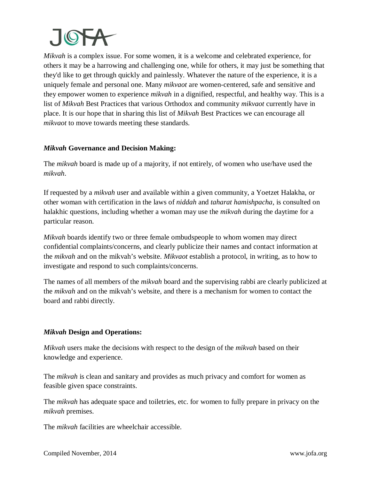

*Mikvah* is a complex issue. For some women, it is a welcome and celebrated experience, for others it may be a harrowing and challenging one, while for others, it may just be something that they'd like to get through quickly and painlessly. Whatever the nature of the experience, it is a uniquely female and personal one. Many *mikvaot* are women-centered, safe and sensitive and they empower women to experience *mikvah* in a dignified, respectful, and healthy way. This is a list of *Mikvah* Best Practices that various Orthodox and community *mikvaot* currently have in place. It is our hope that in sharing this list of *Mikvah* Best Practices we can encourage all *mikvaot* to move towards meeting these standards.

### *Mikvah* **Governance and Decision Making:**

The *mikvah* board is made up of a majority, if not entirely, of women who use/have used the *mikvah*.

If requested by a *mikvah* user and available within a given community, a Yoetzet Halakha, or other woman with certification in the laws of *niddah* and *taharat hamishpacha*, is consulted on halakhic questions, including whether a woman may use the *mikvah* during the daytime for a particular reason.

*Mikvah* boards identify two or three female ombudspeople to whom women may direct confidential complaints/concerns, and clearly publicize their names and contact information at the *mikvah* and on the mikvah's website. *Mikvaot* establish a protocol, in writing, as to how to investigate and respond to such complaints/concerns.

The names of all members of the *mikvah* board and the supervising rabbi are clearly publicized at the *mikvah* and on the mikvah's website, and there is a mechanism for women to contact the board and rabbi directly.

## *Mikvah* **Design and Operations:**

*Mikvah* users make the decisions with respect to the design of the *mikvah* based on their knowledge and experience.

The *mikvah* is clean and sanitary and provides as much privacy and comfort for women as feasible given space constraints.

The *mikvah* has adequate space and toiletries, etc. for women to fully prepare in privacy on the *mikvah* premises.

The *mikvah* facilities are wheelchair accessible.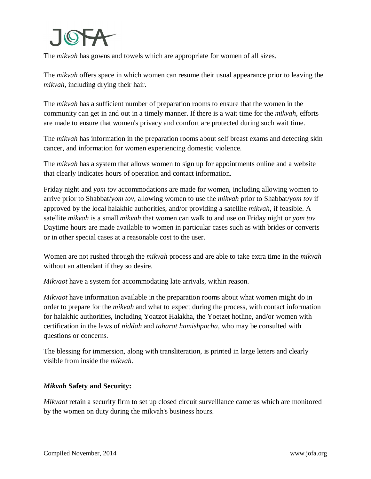

The *mikvah* has gowns and towels which are appropriate for women of all sizes.

The *mikvah* offers space in which women can resume their usual appearance prior to leaving the *mikvah,* including drying their hair.

The *mikvah* has a sufficient number of preparation rooms to ensure that the women in the community can get in and out in a timely manner. If there is a wait time for the *mikvah*, efforts are made to ensure that women's privacy and comfort are protected during such wait time.

The *mikvah* has information in the preparation rooms about self breast exams and detecting skin cancer, and information for women experiencing domestic violence.

The *mikvah* has a system that allows women to sign up for appointments online and a website that clearly indicates hours of operation and contact information.

Friday night and *yom tov* accommodations are made for women, including allowing women to arrive prior to Shabbat/*yom tov*, allowing women to use the *mikvah* prior to Shabbat/*yom tov* if approved by the local halakhic authorities, and/or providing a satellite *mikvah*, if feasible. A satellite *mikvah* is a small *mikvah* that women can walk to and use on Friday night or *yom tov.* Daytime hours are made available to women in particular cases such as with brides or converts or in other special cases at a reasonable cost to the user.

Women are not rushed through the *mikvah* process and are able to take extra time in the *mikvah* without an attendant if they so desire.

*Mikvaot* have a system for accommodating late arrivals, within reason.

*Mikvaot* have information available in the preparation rooms about what women might do in order to prepare for the *mikvah* and what to expect during the process, with contact information for halakhic authorities, including Yoatzot Halakha, the Yoetzet hotline, and/or women with certification in the laws of *niddah* and *taharat hamishpacha*, who may be consulted with questions or concerns.

The blessing for immersion, along with transliteration, is printed in large letters and clearly visible from inside the *mikvah*.

#### *Mikvah* **Safety and Security:**

*Mikvaot* retain a security firm to set up closed circuit surveillance cameras which are monitored by the women on duty during the mikvah's business hours.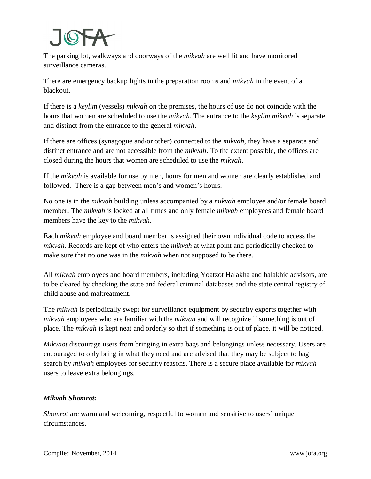# JOF

The parking lot, walkways and doorways of the *mikvah* are well lit and have monitored surveillance cameras.

There are emergency backup lights in the preparation rooms and *mikvah* in the event of a blackout.

If there is a *keylim* (vessels) *mikvah* on the premises, the hours of use do not coincide with the hours that women are scheduled to use the *mikvah*. The entrance to the *keylim mikvah* is separate and distinct from the entrance to the general *mikvah*.

If there are offices (synagogue and/or other) connected to the *mikvah*, they have a separate and distinct entrance and are not accessible from the *mikvah*. To the extent possible, the offices are closed during the hours that women are scheduled to use the *mikvah*.

If the *mikvah* is available for use by men, hours for men and women are clearly established and followed. There is a gap between men's and women's hours.

No one is in the *mikvah* building unless accompanied by a *mikvah* employee and/or female board member. The *mikvah* is locked at all times and only female *mikvah* employees and female board members have the key to the *mikvah*.

Each *mikvah* employee and board member is assigned their own individual code to access the *mikvah*. Records are kept of who enters the *mikvah* at what point and periodically checked to make sure that no one was in the *mikvah* when not supposed to be there.

All *mikvah* employees and board members, including Yoatzot Halakha and halakhic advisors, are to be cleared by checking the state and federal criminal databases and the state central registry of child abuse and maltreatment.

The *mikvah* is periodically swept for surveillance equipment by security experts together with *mikvah* employees who are familiar with the *mikvah* and will recognize if something is out of place. The *mikvah* is kept neat and orderly so that if something is out of place, it will be noticed.

*Mikvaot* discourage users from bringing in extra bags and belongings unless necessary. Users are encouraged to only bring in what they need and are advised that they may be subject to bag search by *mikvah* employees for security reasons. There is a secure place available for *mikvah* users to leave extra belongings.

## *Mikvah Shomrot:*

*Shomrot* are warm and welcoming, respectful to women and sensitive to users' unique circumstances.